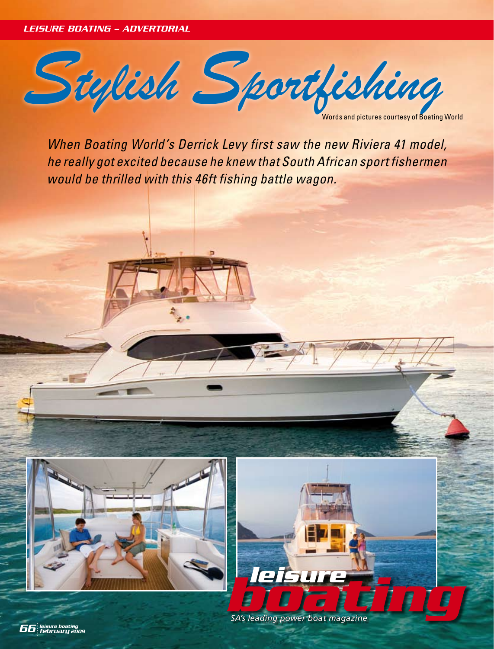*LEISURE BOATING – ADVERTORIAL*



*When Boating World's Derrick Levy first saw the new Riviera 41 model, he really got excited because he knew that South African sport fishermen would be thrilled with this 46ft fishing battle wagon.*



**boating** *power boat magazine* 

*leisure boating 66 february 2009*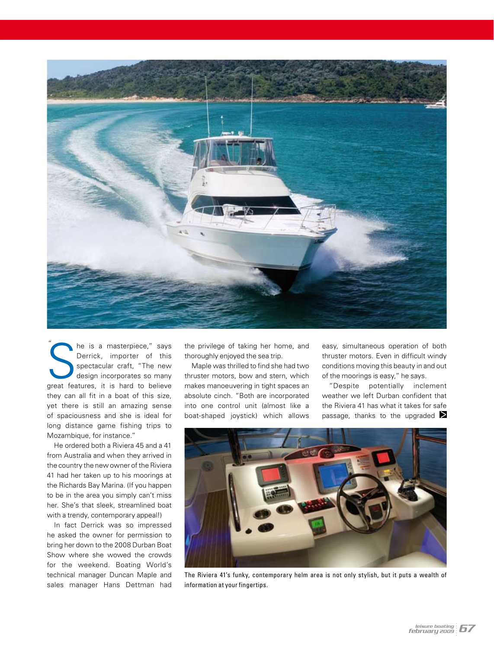

The is a masterpiece," says<br>Derrick, importer of this<br>spectacular craft, "The new<br>design incorporates so many<br>great features, it is hard to believe he is a masterpiece," says Derrick, importer of this spectacular craft, "The new design incorporates so many they can all fit in a boat of this size, yet there is still an amazing sense of spaciousness and she is ideal for long distance game fishing trips to Mozambique, for instance." "

He ordered both a Riviera 45 and a 41 from Australia and when they arrived in the country the new owner of the Riviera 41 had her taken up to his moorings at the Richards Bay Marina. (If you happen to be in the area you simply can't miss her. She's that sleek, streamlined boat with a trendy, contemporary appeal!)

In fact Derrick was so impressed he asked the owner for permission to bring her down to the 2008 Durban Boat Show where she wowed the crowds for the weekend. Boating World's technical manager Duncan Maple and sales manager Hans Dettman had

the privilege of taking her home, and thoroughly enjoyed the sea trip.

Maple was thrilled to find she had two thruster motors, bow and stern, which makes manoeuvering in tight spaces an absolute cinch. "Both are incorporated into one control unit (almost like a boat-shaped joystick) which allows

easy, simultaneous operation of both thruster motors. Even in difficult windy conditions moving this beauty in and out of the moorings is easy," he says.

"Despite potentially inclement weather we left Durban confident that the Riviera 41 has what it takes for safe passage, thanks to the upgraded  $\geq$ 



The Riviera 41's funky, contemporary helm area is not only stylish, but it puts a wealth of information at your fingertips.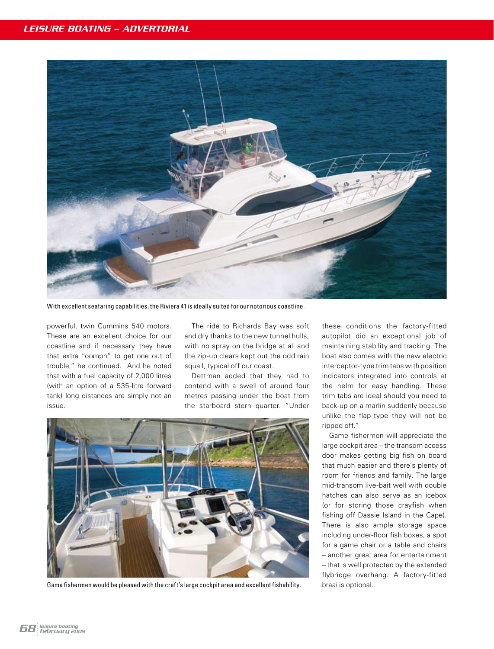

With excellent seafaring capabilities, the Riviera 41 is ideally suited for our notorious coastline.

powerful, twin Cummins 540 motors. These are an excellent choice for our coastline and if necessary they have that extra "oomph" to get one out of trouble," he continued. And he noted that with a fuel capacity of 2,000 litres (with an option of a 535-litre forward tank) long distances are simply not an issue.

The ride to Richards Bay was soft and dry thanks to the new tunnel hulls, with no spray on the bridge at all and the zip-up clears kept out the odd rain squall, typical off our coast.

Dettman added that they had to contend with a swell of around four metres passing under the boat from the starboard stern quarter. "Under



Game fishermen would be pleased with the craft's large cockpit area and excellent fishability.

these conditions the factory-fitted autopilot did an exceptional job of maintaining stability and tracking. The boat also comes with the new electric interceptor-type trim tabs with position indicators integrated into controls at the helm for easy handling. These trim tabs are ideal should you need to back-up on a marlin suddenly because unlike the flap-type they will not be ripped off."

Game fishermen will appreciate the large cockpit area – the transom access door makes getting big fish on board that much easier and there's plenty of room for friends and family. The large mid-transom live-bait well with double hatches can also serve as an icebox (or for storing those crayfish when fishing off Dassie Island in the Cape). There is also ample storage space including under-floor fish boxes, a spot for a game chair or a table and chairs – another great area for entertainment – that is well protected by the extended flybridge overhang. A factory-fitted braai is optional.